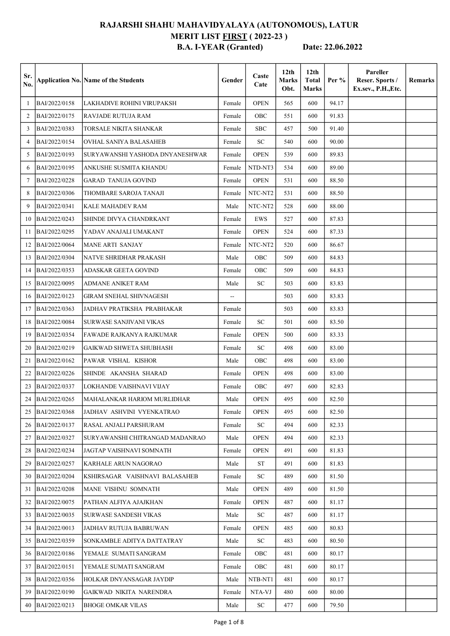## RAJARSHI SHAHU MAHAVIDYALAYA (AUTONOMOUS), LATUR MERIT LIST **FIRST** (2022-23) B.A. I-YEAR (Granted) Date: 22.06.2022

| Sr.<br>No. |               | <b>Application No. Name of the Students</b> | Gender | Caste<br>Cate | 12 <sub>th</sub><br><b>Marks</b><br>Obt. | 12 <sub>th</sub><br><b>Total</b><br><b>Marks</b> | Per % | Pareller<br>Reser. Sports /<br>Ex.sev., P.H., Etc. | Remarks |
|------------|---------------|---------------------------------------------|--------|---------------|------------------------------------------|--------------------------------------------------|-------|----------------------------------------------------|---------|
| 1          | BAI/2022/0158 | LAKHADIVE ROHINI VIRUPAKSH                  | Female | <b>OPEN</b>   | 565                                      | 600                                              | 94.17 |                                                    |         |
| 2          | BAI/2022/0175 | RAVJADE RUTUJA RAM                          | Female | OBC           | 551                                      | 600                                              | 91.83 |                                                    |         |
| 3          | BAI/2022/0383 | TORSALE NIKITA SHANKAR                      | Female | SBC           | 457                                      | 500                                              | 91.40 |                                                    |         |
| 4          | BAI/2022/0154 | OVHAL SANIYA BALASAHEB                      | Female | <b>SC</b>     | 540                                      | 600                                              | 90.00 |                                                    |         |
| 5          | BAI/2022/0193 | SURYAWANSHI YASHODA DNYANESHWAR             | Female | <b>OPEN</b>   | 539                                      | 600                                              | 89.83 |                                                    |         |
| 6          | BAI/2022/0195 | ANKUSHE SUSMITA KHANDU                      | Female | NTD-NT3       | 534                                      | 600                                              | 89.00 |                                                    |         |
| 7          | BAI/2022/0228 | <b>GARAD TANUJA GOVIND</b>                  | Female | <b>OPEN</b>   | 531                                      | 600                                              | 88.50 |                                                    |         |
| 8          | BAI/2022/0306 | THOMBARE SAROJA TANAJI                      | Female | NTC-NT2       | 531                                      | 600                                              | 88.50 |                                                    |         |
| 9          | BAI/2022/0341 | KALE MAHADEV RAM                            | Male   | NTC-NT2       | 528                                      | 600                                              | 88.00 |                                                    |         |
| 10         | BAI/2022/0243 | SHINDE DIVYA CHANDRKANT                     | Female | EWS           | 527                                      | 600                                              | 87.83 |                                                    |         |
| 11         | BAI/2022/0295 | YADAV ANAJALI UMAKANT                       | Female | <b>OPEN</b>   | 524                                      | 600                                              | 87.33 |                                                    |         |
| 12         | BAI/2022/0064 | MANE ARTI SANJAY                            | Female | NTC-NT2       | 520                                      | 600                                              | 86.67 |                                                    |         |
| 13         | BAI/2022/0304 | NATVE SHRIDHAR PRAKASH                      | Male   | OBC           | 509                                      | 600                                              | 84.83 |                                                    |         |
| 14         | BAI/2022/0353 | <b>ADASKAR GEETA GOVIND</b>                 | Female | OBC           | 509                                      | 600                                              | 84.83 |                                                    |         |
| 15         | BAI/2022/0095 | ADMANE ANIKET RAM                           | Male   | <b>SC</b>     | 503                                      | 600                                              | 83.83 |                                                    |         |
| 16         | BAI/2022/0123 | GIRAM SNEHAL SHIVNAGESH                     | --     |               | 503                                      | 600                                              | 83.83 |                                                    |         |
| 17         | BAI/2022/0363 | JADHAV PRATIKSHA PRABHAKAR                  | Female |               | 503                                      | 600                                              | 83.83 |                                                    |         |
| 18         | BAI/2022/0084 | SURWASE SANJIVANI VIKAS                     | Female | <b>SC</b>     | 501                                      | 600                                              | 83.50 |                                                    |         |
| 19         | BAI/2022/0354 | FAWADE RAJKANYA RAJKUMAR                    | Female | <b>OPEN</b>   | 500                                      | 600                                              | 83.33 |                                                    |         |
| 20         | BAI/2022/0219 | GAIKWAD SHWETA SHUBHASH                     | Female | <b>SC</b>     | 498                                      | 600                                              | 83.00 |                                                    |         |
| 21         | BAI/2022/0162 | PAWAR VISHAL KISHOR                         | Male   | OBC           | 498                                      | 600                                              | 83.00 |                                                    |         |
| 22         | BAI/2022/0226 | SHINDE AKANSHA SHARAD                       | Female | <b>OPEN</b>   | 498                                      | 600                                              | 83.00 |                                                    |         |
| 23         | BAI/2022/0337 | LOKHANDE VAISHNAVI VIJAY                    | Female | OBC           | 497                                      | 600                                              | 82.83 |                                                    |         |
| 24         | BAI/2022/0265 | MAHALANKAR HARIOM MURLIDHAR                 | Male   | <b>OPEN</b>   | 495                                      | 600                                              | 82.50 |                                                    |         |
| 25         | BAI/2022/0368 | JADHAV ASHVINI VYENKATRAO                   | Female | <b>OPEN</b>   | 495                                      | 600                                              | 82.50 |                                                    |         |
| 26         | BAI/2022/0137 | RASAL ANJALI PARSHURAM                      | Female | SC            | 494                                      | 600                                              | 82.33 |                                                    |         |
| 27         | BAI/2022/0327 | SURYAWANSHI CHITRANGAD MADANRAO             | Male   | <b>OPEN</b>   | 494                                      | 600                                              | 82.33 |                                                    |         |
| 28         | BAI/2022/0234 | JAGTAP VAISHNAVI SOMNATH                    | Female | <b>OPEN</b>   | 491                                      | 600                                              | 81.83 |                                                    |         |
| 29         | BAI/2022/0257 | KARHALE ARUN NAGORAO                        | Male   | ST            | 491                                      | 600                                              | 81.83 |                                                    |         |
| 30         | BAI/2022/0204 | KSHIRSAGAR VAISHNAVI BALASAHEB              | Female | <b>SC</b>     | 489                                      | 600                                              | 81.50 |                                                    |         |
| 31         | BAI/2022/0208 | MANE VISHNU SOMNATH                         | Male   | <b>OPEN</b>   | 489                                      | 600                                              | 81.50 |                                                    |         |
| 32         | BAI/2022/0075 | PATHAN ALFIYA AJAJKHAN                      | Female | <b>OPEN</b>   | 487                                      | 600                                              | 81.17 |                                                    |         |
| 33         | BAI/2022/0035 | SURWASE SANDESH VIKAS                       | Male   | SC            | 487                                      | 600                                              | 81.17 |                                                    |         |
| 34         | BAI/2022/0013 | JADHAV RUTUJA BABRUWAN                      | Female | <b>OPEN</b>   | 485                                      | 600                                              | 80.83 |                                                    |         |
| 35         | BAI/2022/0359 | SONKAMBLE ADITYA DATTATRAY                  | Male   | SC            | 483                                      | 600                                              | 80.50 |                                                    |         |
| 36         | BAI/2022/0186 | YEMALE SUMATI SANGRAM                       | Female | OBC           | 481                                      | 600                                              | 80.17 |                                                    |         |
| 37         | BAI/2022/0151 | YEMALE SUMATI SANGRAM                       | Female | OBC           | 481                                      | 600                                              | 80.17 |                                                    |         |
| 38         | BAI/2022/0356 | HOLKAR DNYANSAGAR JAYDIP                    | Male   | NTB-NT1       | 481                                      | 600                                              | 80.17 |                                                    |         |
| 39         | BAI/2022/0190 | GAIKWAD NIKITA NARENDRA                     | Female | NTA-VJ        | 480                                      | 600                                              | 80.00 |                                                    |         |
| 40         | BAI/2022/0213 | BHOGE OMKAR VILAS                           | Male   | SC            | 477                                      | 600                                              | 79.50 |                                                    |         |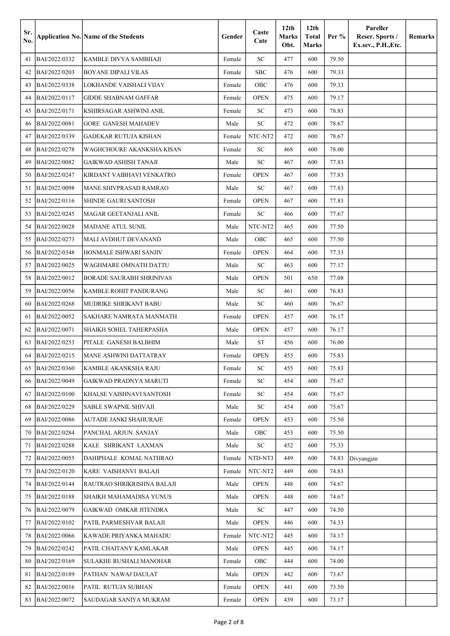| Sr.<br>No. |               | <b>Application No. Name of the Students</b> | Gender | Caste<br>Cate | 12 <sub>th</sub><br><b>Marks</b><br>Obt. | 12 <sub>th</sub><br><b>Total</b><br>Marks | Per % | Pareller<br>Reser. Sports /<br>Ex.sev., P.H., Etc. | Remarks |
|------------|---------------|---------------------------------------------|--------|---------------|------------------------------------------|-------------------------------------------|-------|----------------------------------------------------|---------|
| 41         | BAI/2022/0332 | KAMBLE DIVYA SAMBHAJI                       | Female | <b>SC</b>     | 477                                      | 600                                       | 79.50 |                                                    |         |
| 42         | BAI/2022/0203 | <b>BOYANE DIPALI VILAS</b>                  | Female | SBC           | 476                                      | 600                                       | 79.33 |                                                    |         |
| 43         | BAI/2022/0338 | LOKHANDE VAISHALI VIJAY                     | Female | OBC           | 476                                      | 600                                       | 79.33 |                                                    |         |
| 44         | BAI/2022/0117 | <b>GIDDE SHABNAM GAFFAR</b>                 | Female | <b>OPEN</b>   | 475                                      | 600                                       | 79.17 |                                                    |         |
| 45         | BAI/2022/0171 | KSHIRSAGAR ASHWINI ANIL                     | Female | SC            | 473                                      | 600                                       | 78.83 |                                                    |         |
| 46         | BAI/2022/0081 | <b>GORE GANESH MAHADEV</b>                  | Male   | <b>SC</b>     | 472                                      | 600                                       | 78.67 |                                                    |         |
| 47         | BAI/2022/0339 | <b>GADEKAR RUTUJA KISHAN</b>                | Female | NTC-NT2       | 472                                      | 600                                       | 78.67 |                                                    |         |
| 48         | BAI/2022/0278 | WAGHCHOURE AKANKSHA KISAN                   | Female | <b>SC</b>     | 468                                      | 600                                       | 78.00 |                                                    |         |
| 49         | BAI/2022/0082 | <b>GAIKWAD ASHISH TANAJI</b>                | Male   | <b>SC</b>     | 467                                      | 600                                       | 77.83 |                                                    |         |
| 50         | BAI/2022/0247 | KIRDANT VAIBHAVI VENKATRO                   | Female | <b>OPEN</b>   | 467                                      | 600                                       | 77.83 |                                                    |         |
| 51         | BAI/2022/0098 | <b>MANE SHIVPRASAD RAMRAO</b>               | Male   | SC            | 467                                      | 600                                       | 77.83 |                                                    |         |
| 52         | BAI/2022/0116 | <b>SHINDE GAURI SANTOSH</b>                 | Female | <b>OPEN</b>   | 467                                      | 600                                       | 77.83 |                                                    |         |
| 53         | BAI/2022/0245 | <b>MAGAR GEETANJALI ANIL</b>                | Female | <b>SC</b>     | 466                                      | 600                                       | 77.67 |                                                    |         |
| 54         | BAI/2022/0028 | <b>MADANE ATUL SUNIL</b>                    | Male   | NTC-NT2       | 465                                      | 600                                       | 77.50 |                                                    |         |
| 55         | BAI/2022/0273 | MALI AVDHUT DEVANAND                        | Male   | OBC           | 465                                      | 600                                       | 77.50 |                                                    |         |
| 56         | BAI/2022/0348 | HONMALE ISHWARI SANJIV                      | Female | <b>OPEN</b>   | 464                                      | 600                                       | 77.33 |                                                    |         |
| 57         | BAI/2022/0025 | <b>WAGHMARE OMNATH DATTU</b>                | Male   | <b>SC</b>     | 463                                      | 600                                       | 77.17 |                                                    |         |
| 58         | BAI/2022/0012 | <b>BORADE SAURABH SHRINIVAS</b>             | Male   | <b>OPEN</b>   | 501                                      | 650                                       | 77.08 |                                                    |         |
| 59         | BAI/2022/0056 | <b>KAMBLE ROHIT PANDURANG</b>               | Male   | <b>SC</b>     | 461                                      | 600                                       | 76.83 |                                                    |         |
| 60         | BAI/2022/0268 | <b>MUDRIKE SHRIKANT BABU</b>                | Male   | SC            | 460                                      | 600                                       | 76.67 |                                                    |         |
| 61         | BAI/2022/0052 | SAKHARE NAMRATA MANMATH                     | Female | <b>OPEN</b>   | 457                                      | 600                                       | 76.17 |                                                    |         |
| 62         | BAI/2022/0071 | SHAIKH SOHEL TAHERPASHA                     | Male   | <b>OPEN</b>   | 457                                      | 600                                       | 76.17 |                                                    |         |
| 63         | BAI/2022/0253 | PITALE GANESH BALBHIM                       | Male   | <b>ST</b>     | 456                                      | 600                                       | 76.00 |                                                    |         |
| 64         | BAI/2022/0215 | <b>MANE ASHWINI DATTATRAY</b>               | Female | <b>OPEN</b>   | 455                                      | 600                                       | 75.83 |                                                    |         |
| 65         | BAI/2022/0360 | KAMBLE AKANKSHA RAJU                        | Female | <b>SC</b>     | 455                                      | 600                                       | 75.83 |                                                    |         |
| 66         | BAI/2022/0049 | <b>GAIKWAD PRADNYA MARUTI</b>               | Female | <b>SC</b>     | 454                                      | 600                                       | 75.67 |                                                    |         |
| 67         | BAI/2022/0100 | KHALSE VAISHNAVI SANTOSH                    | Female | SC            | 454                                      | 600                                       | 75.67 |                                                    |         |
| 68         | BAI/2022/0229 | <b>SABLE SWAPNIL SHIVAJI</b>                | Male   | SC            | 454                                      | 600                                       | 75.67 |                                                    |         |
| 69         | BAI/2022/0086 | AUTADE JANKI SHAHURAJE                      | Female | <b>OPEN</b>   | 453                                      | 600                                       | 75.50 |                                                    |         |
| 70         | BAI/2022/0284 | PANCHAL ARJUN SANJAY                        | Male   | OBC           | 453                                      | 600                                       | 75.50 |                                                    |         |
| 71         | BAI/2022/0288 | KALE SHRIKANT LAXMAN                        | Male   | SC            | 452                                      | 600                                       | 75.33 |                                                    |         |
| 72         | BAI/2022/0055 | DAHIPHALE KOMAL NATHRAO                     | Female | NTD-NT3       | 449                                      | 600                                       | 74.83 | Divyangjan                                         |         |
| 73         | BAI/2022/0120 | KARE VAISHANVI BALAJI                       | Female | NTC-NT2       | 449                                      | 600                                       | 74.83 |                                                    |         |
| 74         | BAI/2022/0144 | RAUTRAO SHRIKRISHNA BALAJI                  | Male   | <b>OPEN</b>   | 448                                      | 600                                       | 74.67 |                                                    |         |
| 75         | BAI/2022/0188 | SHAIKH MAHAMADISA YUNUS                     | Male   | <b>OPEN</b>   | 448                                      | 600                                       | 74.67 |                                                    |         |
| 76         | BAI/2022/0079 | GAIKWAD OMKAR JITENDRA                      | Male   | SC            | 447                                      | 600                                       | 74.50 |                                                    |         |
| 77         | BAI/2022/0102 | PATIL PARMESHVAR BALAJI                     | Male   | <b>OPEN</b>   | 446                                      | 600                                       | 74.33 |                                                    |         |
| 78         | BAI/2022/0066 | KAWADE PRIYANKA MAHADU                      | Female | NTC-NT2       | 445                                      | 600                                       | 74.17 |                                                    |         |
| 79         | BAI/2022/0242 | PATIL CHAITANY KAMLAKAR                     | Male   | <b>OPEN</b>   | 445                                      | 600                                       | 74.17 |                                                    |         |
| 80         | BAI/2022/0169 | <b>SULAKHE RUSHALI MANOHAR</b>              | Female | OBC           | 444                                      | 600                                       | 74.00 |                                                    |         |
| 81         | BAI/2022/0189 | PATHAN NAWAJ DAULAT                         | Male   | <b>OPEN</b>   | 442                                      | 600                                       | 73.67 |                                                    |         |
| 82         | BAI/2022/0016 | PATIL RUTUJA SUBHAN                         | Female | <b>OPEN</b>   | 441                                      | 600                                       | 73.50 |                                                    |         |
| 83         | BAI/2022/0072 | SAUDAGAR SANIYA MUKRAM                      | Female | <b>OPEN</b>   | 439                                      | 600                                       | 73.17 |                                                    |         |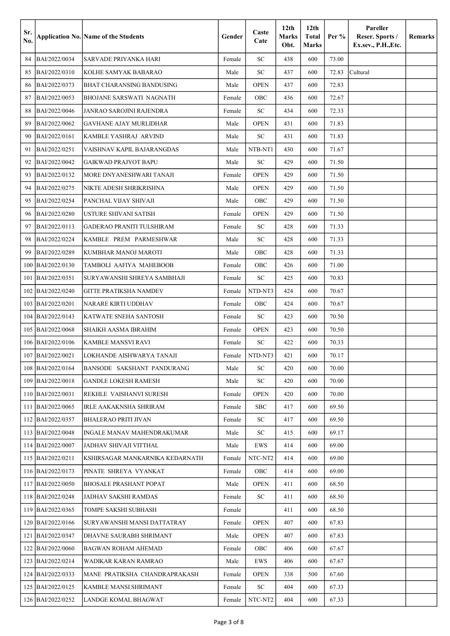| Sr.<br>No. |                     | <b>Application No. Name of the Students</b> | Gender | Caste<br>Cate  | 12 <sub>th</sub><br>Marks<br>Obt. | 12 <sub>th</sub><br><b>Total</b><br><b>Marks</b> | Per $%$ | Pareller<br>Reser. Sports /<br>Ex.sev., P.H., Etc. | Remarks |
|------------|---------------------|---------------------------------------------|--------|----------------|-----------------------------------|--------------------------------------------------|---------|----------------------------------------------------|---------|
| 84         | BAI/2022/0034       | SARVADE PRIYANKA HARI                       | Female | <b>SC</b>      | 438                               | 600                                              | 73.00   |                                                    |         |
| 85         | BAI/2022/0310       | KOLHE SAMYAK BABARAO                        | Male   | <b>SC</b>      | 437                               | 600                                              | 72.83   | Cultural                                           |         |
| 86         | BAI/2022/0373       | <b>BHAT CHARANSING BANDUSING</b>            | Male   | <b>OPEN</b>    | 437                               | 600                                              | 72.83   |                                                    |         |
| 87         | BAI/2022/0053       | <b>BHOJANE SARSWATI NAGNATH</b>             | Female | OBC            | 436                               | 600                                              | 72.67   |                                                    |         |
| 88         | BAI/2022/0046       | JANRAO SAROJINI RAJENDRA                    | Female | <b>SC</b>      | 434                               | 600                                              | 72.33   |                                                    |         |
| 89         | BAI/2022/0062       | GAVHANE AJAY MURLIDHAR                      | Male   | <b>OPEN</b>    | 431                               | 600                                              | 71.83   |                                                    |         |
| 90         | BAI/2022/0161       | KAMBLE YASHRAJ ARVIND                       | Male   | ${\rm SC}$     | 431                               | 600                                              | 71.83   |                                                    |         |
| 91         | BAI/2022/0251       | VAISHNAV KAPIL BAJARANGDAS                  | Male   | NTB-NT1        | 430                               | 600                                              | 71.67   |                                                    |         |
| 92         | BAI/2022/0042       | <b>GAIKWAD PRAJYOT BAPU</b>                 | Male   | ${\rm SC}$     | 429                               | 600                                              | 71.50   |                                                    |         |
| 93         | BAI/2022/0132       | MORE DNYANESHWARI TANAJI                    | Female | <b>OPEN</b>    | 429                               | 600                                              | 71.50   |                                                    |         |
| 94         | BAI/2022/0275       | NIKTE ADESH SHRIKRISHNA                     | Male   | <b>OPEN</b>    | 429                               | 600                                              | 71.50   |                                                    |         |
| 95         | BAI/2022/0254       | PANCHAL VIJAY SHIVAJI                       | Male   | OBC            | 429                               | 600                                              | 71.50   |                                                    |         |
| 96         | BAI/2022/0280       | USTURE SHIVANI SATISH                       | Female | <b>OPEN</b>    | 429                               | 600                                              | 71.50   |                                                    |         |
| 97         | BAI/2022/0113       | <b>GADERAO PRANITI TULSHIRAM</b>            | Female | <b>SC</b>      | 428                               | 600                                              | 71.33   |                                                    |         |
| 98         | BAI/2022/0224       | KAMBLE PREM PARMESHWAR                      | Male   | <b>SC</b>      | 428                               | 600                                              | 71.33   |                                                    |         |
| 99         | BAI/2022/0289       | KUMBHAR MANOJ MAROTI                        | Male   | OBC            | 428                               | 600                                              | 71.33   |                                                    |         |
| 100        | BAI/2022/0130       | TAMBOLI AAFIYA MAHEBOOB                     | Female | OBC            | 426                               | 600                                              | 71.00   |                                                    |         |
| 101        | BAI/2022/0351       | SURYAWANSHI SHREYA SAMBHAJI                 | Female | <b>SC</b>      | 425                               | 600                                              | 70.83   |                                                    |         |
| 102        | BAI/2022/0240       | <b>GITTE PRATIKSHA NAMDEV</b>               | Female | NTD-NT3        | 424                               | 600                                              | 70.67   |                                                    |         |
| 103        | BAI/2022/0201       | NARARE KIRTI UDDHAV                         | Female | OBC            | 424                               | 600                                              | 70.67   |                                                    |         |
| 104        | BAI/2022/0143       | KATWATE SNEHA SANTOSH                       | Female | <b>SC</b>      | 423                               | 600                                              | 70.50   |                                                    |         |
| 105        | BAI/2022/0068       | <b>SHAIKH AASMA IBRAHIM</b>                 | Female | <b>OPEN</b>    | 423                               | 600                                              | 70.50   |                                                    |         |
| 106        | BAI/2022/0106       | <b>KAMBLE MANSVI RAVI</b>                   | Female | SC             | 422                               | 600                                              | 70.33   |                                                    |         |
|            | 107 BAI/2022/0021   | LOKHANDE AISHWARYA TANAJI                   |        | Female NTD-NT3 | 421                               | 600                                              | 70.17   |                                                    |         |
|            | 108 BAI/2022/0164   | BANSODE SAKSHANT PANDURANG                  | Male   | SC             | 420                               | 600                                              | 70.00   |                                                    |         |
|            | 109   BAI/2022/0018 | GANDLE LOKESH RAMESH                        | Male   | SC             | 420                               | 600                                              | 70.00   |                                                    |         |
|            | 110   BAI/2022/0031 | REKHLE VAISHANVI SURESH                     | Female | <b>OPEN</b>    | 420                               | 600                                              | 70.00   |                                                    |         |
|            | 111  BAI/2022/0065  | <b>IRLE AAKAKNSHA SHRIRAM</b>               | Female | <b>SBC</b>     | 417                               | 600                                              | 69.50   |                                                    |         |
|            | 112   BAI/2022/0357 | <b>BHALERAO PRITI JIVAN</b>                 | Female | SC             | 417                               | 600                                              | 69.50   |                                                    |         |
|            | 113   BAI/2022/0048 | INGALE MANAV MAHENDRAKUMAR                  | Male   | SC             | 415                               | 600                                              | 69.17   |                                                    |         |
|            | 114   BAI/2022/0007 | JADHAV SHIVAJI VITTHAL                      | Male   | EWS            | 414                               | 600                                              | 69.00   |                                                    |         |
|            | 115   BAI/2022/0211 | KSHIRSAGAR MANKARNIKA KEDARNATH             | Female | NTC-NT2        | 414                               | 600                                              | 69.00   |                                                    |         |
|            | 116   BAI/2022/0173 | PINATE SHREYA VYANKAT                       | Female | OBC            | 414                               | 600                                              | 69.00   |                                                    |         |
|            | 117 BAI/2022/0050   | <b>BHOSALE PRASHANT POPAT</b>               | Male   | <b>OPEN</b>    | 411                               | 600                                              | 68.50   |                                                    |         |
|            | 118   BAI/2022/0248 | JADHAV SAKSHI RAMDAS                        | Female | SC             | 411                               | 600                                              | 68.50   |                                                    |         |
|            | 119   BAI/2022/0365 | TOMPE SAKSHI SUBHASH                        | Female |                | 411                               | 600                                              | 68.50   |                                                    |         |
|            | 120 BAI/2022/0166   | SURYAWANSHI MANSI DATTATRAY                 | Female | <b>OPEN</b>    | 407                               | 600                                              | 67.83   |                                                    |         |
|            | 121  BAI/2022/0347  | DHAVNE SAURABH SHRIMANT                     | Male   | <b>OPEN</b>    | 407                               | 600                                              | 67.83   |                                                    |         |
|            | 122 BAI/2022/0060   | BAGWAN ROHAM AHEMAD                         | Female | OBC            | 406                               | 600                                              | 67.67   |                                                    |         |
|            | 123   BAI/2022/0214 | WADIKAR KARAN RAMRAO                        | Male   | EWS            | 406                               | 600                                              | 67.67   |                                                    |         |
|            | 124   BAI/2022/0333 | MANE PRATIKSHA CHANDRAPRAKASH               | Female | <b>OPEN</b>    | 338                               | 500                                              | 67.60   |                                                    |         |
|            | 125   BAI/2022/0125 | KAMBLE MANSI SHRIMANT                       | Female | SC             | 404                               | 600                                              | 67.33   |                                                    |         |
|            | 126   BAI/2022/0252 | LANDGE KOMAL BHAGWAT                        | Female | NTC-NT2        | 404                               | 600                                              | 67.33   |                                                    |         |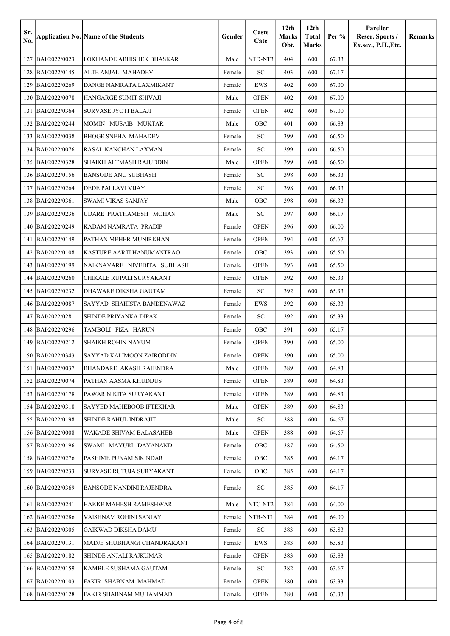| Sr.<br>No. |                     | <b>Application No. Name of the Students</b> | Gender | Caste<br>Cate | 12 <sub>th</sub><br>Marks<br>Obt. | 12 <sub>th</sub><br><b>Total</b><br><b>Marks</b> | Per $%$ | Pareller<br>Reser. Sports /<br>Ex.sev., P.H., Etc. | Remarks |
|------------|---------------------|---------------------------------------------|--------|---------------|-----------------------------------|--------------------------------------------------|---------|----------------------------------------------------|---------|
| 127        | BAI/2022/0023       | LOKHANDE ABHISHEK BHASKAR                   | Male   | NTD-NT3       | 404                               | 600                                              | 67.33   |                                                    |         |
| 128        | BAI/2022/0145       | ALTE ANJALI MAHADEV                         | Female | ${\rm SC}$    | 403                               | 600                                              | 67.17   |                                                    |         |
| 129        | BAI/2022/0269       | DANGE NAMRATA LAXMIKANT                     | Female | <b>EWS</b>    | 402                               | 600                                              | 67.00   |                                                    |         |
| 130        | BAI/2022/0078       | HANGARGE SUMIT SHIVAJI                      | Male   | <b>OPEN</b>   | 402                               | 600                                              | 67.00   |                                                    |         |
| 131        | BAI/2022/0364       | <b>SURVASE JYOTI BALAJI</b>                 | Female | <b>OPEN</b>   | 402                               | 600                                              | 67.00   |                                                    |         |
| 132        | BAI/2022/0244       | MOMIN MUSAIB MUKTAR                         | Male   | OBC           | 401                               | 600                                              | 66.83   |                                                    |         |
| 133        | BAI/2022/0038       | <b>BHOGE SNEHA MAHADEV</b>                  | Female | <b>SC</b>     | 399                               | 600                                              | 66.50   |                                                    |         |
| 134        | BAI/2022/0076       | RASAL KANCHAN LAXMAN                        | Female | <b>SC</b>     | 399                               | 600                                              | 66.50   |                                                    |         |
| 135        | BAI/2022/0328       | SHAIKH ALTMASH RAJUDDIN                     | Male   | <b>OPEN</b>   | 399                               | 600                                              | 66.50   |                                                    |         |
| 136        | BAI/2022/0156       | <b>BANSODE ANU SUBHASH</b>                  | Female | <b>SC</b>     | 398                               | 600                                              | 66.33   |                                                    |         |
| 137        | BAI/2022/0264       | DEDE PALLAVI VIJAY                          | Female | <b>SC</b>     | 398                               | 600                                              | 66.33   |                                                    |         |
| 138        | BAI/2022/0361       | <b>SWAMI VIKAS SANJAY</b>                   | Male   | OBC           | 398                               | 600                                              | 66.33   |                                                    |         |
| 139        | BAI/2022/0236       | UDARE PRATHAMESH MOHAN                      | Male   | <b>SC</b>     | 397                               | 600                                              | 66.17   |                                                    |         |
| 140        | BAI/2022/0249       | KADAM NAMRATA PRADIP                        | Female | <b>OPEN</b>   | 396                               | 600                                              | 66.00   |                                                    |         |
|            | 141 BAI/2022/0149   | PATHAN MEHER MUNIRKHAN                      | Female | <b>OPEN</b>   | 394                               | 600                                              | 65.67   |                                                    |         |
| 142        | BAI/2022/0108       | KASTURE AARTI HANUMANTRAO                   | Female | OBC           | 393                               | 600                                              | 65.50   |                                                    |         |
| 143        | BAI/2022/0199       | NAIKNAVARE NIVEDITA SUBHASH                 | Female | <b>OPEN</b>   | 393                               | 600                                              | 65.50   |                                                    |         |
| 144        | BAI/2022/0260       | CHIKALE RUPALI SURYAKANT                    | Female | <b>OPEN</b>   | 392                               | 600                                              | 65.33   |                                                    |         |
| 145        | BAI/2022/0232       | DHAWARE DIKSHA GAUTAM                       | Female | <b>SC</b>     | 392                               | 600                                              | 65.33   |                                                    |         |
| 146        | BAI/2022/0087       | SAYYAD SHAHISTA BANDENAWAZ                  | Female | EWS           | 392                               | 600                                              | 65.33   |                                                    |         |
| 147        | BAI/2022/0281       | SHINDE PRIYANKA DIPAK                       | Female | <b>SC</b>     | 392                               | 600                                              | 65.33   |                                                    |         |
| 148        | BAI/2022/0296       | TAMBOLI FIZA HARUN                          | Female | OBC           | 391                               | 600                                              | 65.17   |                                                    |         |
| 149        | BAI/2022/0212       | SHAIKH ROHIN NAYUM                          | Female | <b>OPEN</b>   | 390                               | 600                                              | 65.00   |                                                    |         |
|            | 150 BAI/2022/0343   | SAYYAD KALIMOON ZAIRODDIN                   | Female | <b>OPEN</b>   | 390                               | 600                                              | 65.00   |                                                    |         |
|            | 151 BAI/2022/0037   | BHANDARE AKASH RAJENDRA                     | Male   | <b>OPEN</b>   | 389                               | 600                                              | 64.83   |                                                    |         |
|            | 152   BAI/2022/0074 | PATHAN AASMA KHUDDUS                        | Female | <b>OPEN</b>   | 389                               | 600                                              | 64.83   |                                                    |         |
|            | 153   BAI/2022/0178 | PAWAR NIKITA SURYAKANT                      | Female | <b>OPEN</b>   | 389                               | 600                                              | 64.83   |                                                    |         |
|            | 154   BAI/2022/0318 | SAYYED MAHEBOOB IFTEKHAR                    | Male   | <b>OPEN</b>   | 389                               | 600                                              | 64.83   |                                                    |         |
|            | 155  BAI/2022/0198  | SHINDE RAHUL INDRAJIT                       | Male   | SC            | 388                               | 600                                              | 64.67   |                                                    |         |
|            | 156   BAI/2022/0008 | WAKADE SHIVAM BALASAHEB                     | Male   | OPEN          | 388                               | 600                                              | 64.67   |                                                    |         |
|            | 157 BAI/2022/0196   | SWAMI MAYURI DAYANAND                       | Female | OBC           | 387                               | 600                                              | 64.50   |                                                    |         |
|            | 158   BAI/2022/0276 | PASHIME PUNAM SIKINDAR                      | Female | OBC           | 385                               | 600                                              | 64.17   |                                                    |         |
|            | 159   BAI/2022/0233 | SURVASE RUTUJA SURYAKANT                    | Female | OBC           | 385                               | 600                                              | 64.17   |                                                    |         |
|            | 160   BAI/2022/0369 | <b>BANSODE NANDINI RAJENDRA</b>             | Female | SC            | 385                               | 600                                              | 64.17   |                                                    |         |
|            | 161 BAI/2022/0241   | HAKKE MAHESH RAMESHWAR                      | Male   | NTC-NT2       | 384                               | 600                                              | 64.00   |                                                    |         |
|            | 162 BAI/2022/0286   | VAISHNAV ROHINI SANJAY                      | Female | NTB-NT1       | 384                               | 600                                              | 64.00   |                                                    |         |
|            | 163   BAI/2022/0305 | GAIKWAD DIKSHA DAMU                         | Female | SC            | 383                               | 600                                              | 63.83   |                                                    |         |
|            | 164   BAI/2022/0131 | MADJE SHUBHANGI CHANDRAKANT                 | Female | EWS           | 383                               | 600                                              | 63.83   |                                                    |         |
|            | 165   BAI/2022/0182 | <b>SHINDE ANJALI RAJKUMAR</b>               | Female | <b>OPEN</b>   | 383                               | 600                                              | 63.83   |                                                    |         |
|            | 166   BAI/2022/0159 | KAMBLE SUSHAMA GAUTAM                       | Female | SC            | 382                               | 600                                              | 63.67   |                                                    |         |
|            | 167 BAI/2022/0103   | FAKIR SHABNAM MAHMAD                        | Female | <b>OPEN</b>   | 380                               | 600                                              | 63.33   |                                                    |         |
|            | 168   BAI/2022/0128 | FAKIR SHABNAM MUHAMMAD                      | Female | <b>OPEN</b>   | 380                               | 600                                              | 63.33   |                                                    |         |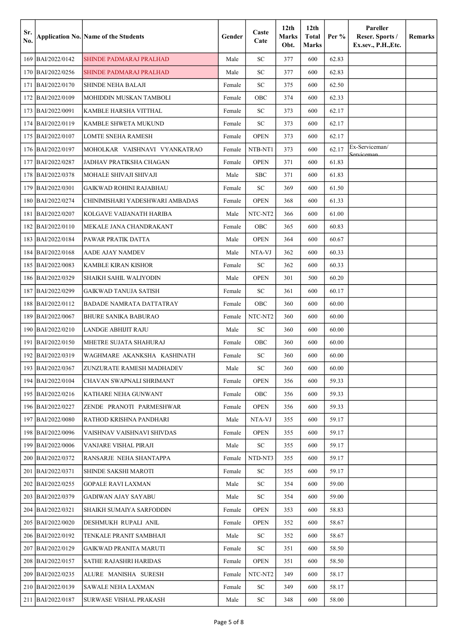| Sr.<br>No. |                     | <b>Application No. Name of the Students</b> | Gender | Caste<br>Cate | 12 <sub>th</sub><br>Marks<br>Obt. | 12 <sub>th</sub><br><b>Total</b><br><b>Marks</b> | Per $%$ | Pareller<br>Reser. Sports /<br>Ex.sev., P.H., Etc. | <b>Remarks</b> |
|------------|---------------------|---------------------------------------------|--------|---------------|-----------------------------------|--------------------------------------------------|---------|----------------------------------------------------|----------------|
| 169        | BAI/2022/0142       | <b>SHINDE PADMARAJ PRALHAD</b>              | Male   | <b>SC</b>     | 377                               | 600                                              | 62.83   |                                                    |                |
| 170        | BAI/2022/0256       | <b>SHINDE PADMARAJ PRALHAD</b>              | Male   | <b>SC</b>     | 377                               | 600                                              | 62.83   |                                                    |                |
| 171        | BAI/2022/0170       | SHINDE NEHA BALAJI                          | Female | <b>SC</b>     | 375                               | 600                                              | 62.50   |                                                    |                |
| 172        | BAI/2022/0109       | MOHIDDIN MUSKAN TAMBOLI                     | Female | OBC           | 374                               | 600                                              | 62.33   |                                                    |                |
| 173        | BAI/2022/0091       | KAMBLE HARSHA VITTHAL                       | Female | <b>SC</b>     | 373                               | 600                                              | 62.17   |                                                    |                |
| 174        | BAI/2022/0119       | KAMBLE SHWETA MUKUND                        | Female | SC            | 373                               | 600                                              | 62.17   |                                                    |                |
| 175        | BAI/2022/0107       | LOMTE SNEHA RAMESH                          | Female | <b>OPEN</b>   | 373                               | 600                                              | 62.17   |                                                    |                |
| 176        | BAI/2022/0197       | MOHOLKAR VAISHNAVI VYANKATRAO               | Female | NTB-NT1       | 373                               | 600                                              | 62.17   | Ex-Serviceman/<br>Serviceman                       |                |
| 177        | BAI/2022/0287       | JADHAV PRATIKSHA CHAGAN                     | Female | <b>OPEN</b>   | 371                               | 600                                              | 61.83   |                                                    |                |
| 178        | BAI/2022/0378       | MOHALE SHIVAJI SHIVAJI                      | Male   | <b>SBC</b>    | 371                               | 600                                              | 61.83   |                                                    |                |
| 179        | BAI/2022/0301       | <b>GAIKWAD ROHINI RAJABHAU</b>              | Female | ${\rm SC}$    | 369                               | 600                                              | 61.50   |                                                    |                |
| 180        | BAI/2022/0274       | CHINIMISHARI YADESHWARI AMBADAS             | Female | <b>OPEN</b>   | 368                               | 600                                              | 61.33   |                                                    |                |
| 181        | BAI/2022/0207       | KOLGAVE VAIJANATH HARIBA                    | Male   | NTC-NT2       | 366                               | 600                                              | 61.00   |                                                    |                |
| 182        | BAI/2022/0110       | MEKALE JANA CHANDRAKANT                     | Female | OBC           | 365                               | 600                                              | 60.83   |                                                    |                |
| 183        | BAI/2022/0184       | PAWAR PRATIK DATTA                          | Male   | <b>OPEN</b>   | 364                               | 600                                              | 60.67   |                                                    |                |
| 184        | BAI/2022/0168       | <b>AADE AJAY NAMDEV</b>                     | Male   | NTA-VJ        | 362                               | 600                                              | 60.33   |                                                    |                |
| 185        | BAI/2022/0083       | <b>KAMBLE KIRAN KISHOR</b>                  | Female | ${\rm SC}$    | 362                               | 600                                              | 60.33   |                                                    |                |
| 186        | BAI/2022/0329       | SHAIKH SAHIL WALIYODIN                      | Male   | <b>OPEN</b>   | 301                               | 500                                              | 60.20   |                                                    |                |
| 187        | BAI/2022/0299       | <b>GAIKWAD TANUJA SATISH</b>                | Female | <b>SC</b>     | 361                               | 600                                              | 60.17   |                                                    |                |
| 188        | BAI/2022/0112       | <b>BADADE NAMRATA DATTATRAY</b>             | Female | OBC           | 360                               | 600                                              | 60.00   |                                                    |                |
| 189        | BAI/2022/0067       | <b>BHURE SANIKA BABURAO</b>                 | Female | NTC-NT2       | 360                               | 600                                              | 60.00   |                                                    |                |
| 190        | BAI/2022/0210       | <b>LANDGE ABHIJIT RAJU</b>                  | Male   | ${\rm SC}$    | 360                               | 600                                              | 60.00   |                                                    |                |
| 191        | BAI/2022/0150       | MHETRE SUJATA SHAHURAJ                      | Female | OBC           | 360                               | 600                                              | 60.00   |                                                    |                |
|            | 192 BAI/2022/0319   | WAGHMARE AKANKSHA KASHINATH                 | Female | SC            | 360                               | 600                                              | 60.00   |                                                    |                |
|            | 193 BAI/2022/0367   | ZUNZURATE RAMESH MADHADEV                   | Male   | SC            | 360                               | 600                                              | 60.00   |                                                    |                |
|            | 194   BAI/2022/0104 | CHAVAN SWAPNALI SHRIMANT                    | Female | OPEN          | 356                               | 600                                              | 59.33   |                                                    |                |
|            | 195 BAI/2022/0216   | KATHARE NEHA GUNWANT                        | Female | <b>OBC</b>    | 356                               | 600                                              | 59.33   |                                                    |                |
|            | 196   BAI/2022/0227 | ZENDE PRANOTI PARMESHWAR                    | Female | <b>OPEN</b>   | 356                               | 600                                              | 59.33   |                                                    |                |
|            | 197 BAI/2022/0080   | RATHOD KRISHNA PANDHARI                     | Male   | NTA-VJ        | 355                               | 600                                              | 59.17   |                                                    |                |
|            | 198 BAI/2022/0096   | VAISHNAV VAISHNAVI SHIVDAS                  | Female | <b>OPEN</b>   | 355                               | 600                                              | 59.17   |                                                    |                |
|            | 199 BAI/2022/0006   | VANJARE VISHAL PIRAJI                       | Male   | SC            | 355                               | 600                                              | 59.17   |                                                    |                |
|            | 200 BAI/2022/0372   | RANSARJE NEHA SHANTAPPA                     | Female | NTD-NT3       | 355                               | 600                                              | 59.17   |                                                    |                |
|            | 201   BAI/2022/0371 | SHINDE SAKSHI MAROTI                        | Female | SC            | 355                               | 600                                              | 59.17   |                                                    |                |
|            | 202 BAI/2022/0255   | <b>GOPALE RAVI LAXMAN</b>                   | Male   | SC            | 354                               | 600                                              | 59.00   |                                                    |                |
|            | 203 BAI/2022/0379   | GADIWAN AJAY SAYABU                         | Male   | SC            | 354                               | 600                                              | 59.00   |                                                    |                |
|            | 204   BAI/2022/0321 | SHAIKH SUMAIYA SARFODDIN                    | Female | OPEN          | 353                               | 600                                              | 58.83   |                                                    |                |
|            | 205 BAI/2022/0020   | DESHMUKH RUPALI ANIL                        | Female | <b>OPEN</b>   | 352                               | 600                                              | 58.67   |                                                    |                |
|            | 206   BAI/2022/0192 | TENKALE PRANIT SAMBHAJI                     | Male   | SC            | 352                               | 600                                              | 58.67   |                                                    |                |
|            | 207 BAI/2022/0129   | GAIKWAD PRANITA MARUTI                      | Female | SC            | 351                               | 600                                              | 58.50   |                                                    |                |
|            | 208 BAI/2022/0157   | SATHE RAJASHRI HARIDAS                      | Female | <b>OPEN</b>   | 351                               | 600                                              | 58.50   |                                                    |                |
|            | 209 BAI/2022/0235   | ALURE MANISHA SURESH                        | Female | NTC-NT2       | 349                               | 600                                              | 58.17   |                                                    |                |
|            | 210   BAI/2022/0139 | SAWALE NEHA LAXMAN                          | Female | SC            | 349                               | 600                                              | 58.17   |                                                    |                |
|            | 211   BAI/2022/0187 | SURWASE VISHAL PRAKASH                      | Male   | ${\rm SC}$    | 348                               | 600                                              | 58.00   |                                                    |                |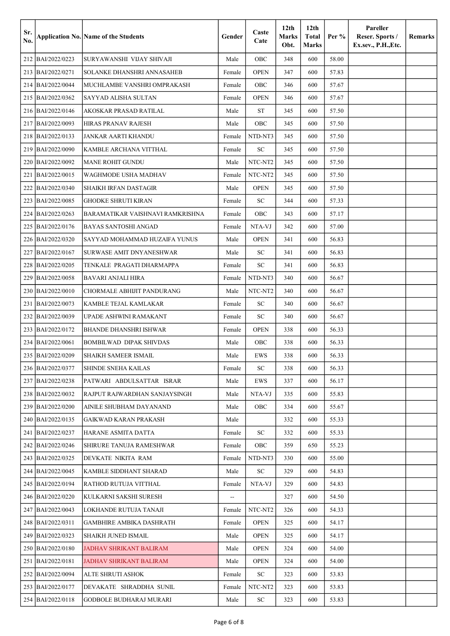| Sr.<br>No. |                     | <b>Application No. Name of the Students</b> | Gender | Caste<br>Cate | 12 <sub>th</sub><br><b>Marks</b><br>Obt. | 12 <sub>th</sub><br><b>Total</b><br><b>Marks</b> | Per % | Pareller<br>Reser. Sports /<br>Ex.sev., P.H., Etc. | Remarks |
|------------|---------------------|---------------------------------------------|--------|---------------|------------------------------------------|--------------------------------------------------|-------|----------------------------------------------------|---------|
| 212        | BAI/2022/0223       | SURYAWANSHI VIJAY SHIVAJI                   | Male   | OBC           | 348                                      | 600                                              | 58.00 |                                                    |         |
|            | 213 BAI/2022/0271   | SOLANKE DHANSHRI ANNASAHEB                  | Female | <b>OPEN</b>   | 347                                      | 600                                              | 57.83 |                                                    |         |
| 214        | BAI/2022/0044       | MUCHLAMBE VANSHRI OMPRAKASH                 | Female | OBC           | 346                                      | 600                                              | 57.67 |                                                    |         |
| 215        | BAI/2022/0362       | SAYYAD ALISHA SULTAN                        | Female | <b>OPEN</b>   | 346                                      | 600                                              | 57.67 |                                                    |         |
| 216        | BAI/2022/0146       | AKOSKAR PRASAD RATILAL                      | Male   | <b>ST</b>     | 345                                      | 600                                              | 57.50 |                                                    |         |
| 217        | BAI/2022/0093       | HIRAS PRANAV RAJESH                         | Male   | OBC           | 345                                      | 600                                              | 57.50 |                                                    |         |
| 218        | BAI/2022/0133       | JANKAR AARTI KHANDU                         | Female | NTD-NT3       | 345                                      | 600                                              | 57.50 |                                                    |         |
| 219        | BAI/2022/0090       | KAMBLE ARCHANA VITTHAL                      | Female | SC            | 345                                      | 600                                              | 57.50 |                                                    |         |
| 220        | BAI/2022/0092       | MANE ROHIT GUNDU                            | Male   | NTC-NT2       | 345                                      | 600                                              | 57.50 |                                                    |         |
| 221        | BAI/2022/0015       | WAGHMODE USHA MADHAV                        | Female | NTC-NT2       | 345                                      | 600                                              | 57.50 |                                                    |         |
| 222        | BAI/2022/0340       | SHAIKH IRFAN DASTAGIR                       | Male   | <b>OPEN</b>   | 345                                      | 600                                              | 57.50 |                                                    |         |
| 223        | BAI/2022/0085       | GHODKE SHRUTI KIRAN                         | Female | SC            | 344                                      | 600                                              | 57.33 |                                                    |         |
| 224        | BAI/2022/0263       | BARAMATIKAR VAISHNAVI RAMKRISHNA            | Female | OBC           | 343                                      | 600                                              | 57.17 |                                                    |         |
| 225        | BAI/2022/0176       | <b>BAYAS SANTOSHI ANGAD</b>                 | Female | NTA-VJ        | 342                                      | 600                                              | 57.00 |                                                    |         |
| 226        | BAI/2022/0320       | SAYYAD MOHAMMAD HUZAIFA YUNUS               | Male   | <b>OPEN</b>   | 341                                      | 600                                              | 56.83 |                                                    |         |
| 227        | BAI/2022/0167       | SURWASE AMIT DNYANESHWAR                    | Male   | SC            | 341                                      | 600                                              | 56.83 |                                                    |         |
| 228        | BAI/2022/0205       | TENKALE PRAGATI DHARMAPPA                   | Female | SC            | 341                                      | 600                                              | 56.83 |                                                    |         |
| 229        | BAI/2022/0058       | BAVARI ANJALI HIRA                          | Female | NTD-NT3       | 340                                      | 600                                              | 56.67 |                                                    |         |
| 230        | BAI/2022/0010       | CHORMALE ABHIJIT PANDURANG                  | Male   | NTC-NT2       | 340                                      | 600                                              | 56.67 |                                                    |         |
| 231        | BAI/2022/0073       | KAMBLE TEJAL KAMLAKAR                       | Female | SC            | 340                                      | 600                                              | 56.67 |                                                    |         |
| 232        | BAI/2022/0039       | UPADE ASHWINI RAMAKANT                      | Female | SC            | 340                                      | 600                                              | 56.67 |                                                    |         |
| 233        | BAI/2022/0172       | BHANDE DHANSHRI ISHWAR                      | Female | <b>OPEN</b>   | 338                                      | 600                                              | 56.33 |                                                    |         |
| 234        | BAI/2022/0061       | <b>BOMBILWAD DIPAK SHIVDAS</b>              | Male   | OBC           | 338                                      | 600                                              | 56.33 |                                                    |         |
|            | 235 BAI/2022/0209   | SHAIKH SAMEER ISMAIL                        | Male   | EWS           | 338                                      | 600                                              | 56.33 |                                                    |         |
|            | 236 BAI/2022/0377   | SHINDE SNEHA KAILAS                         | Female | SC            | 338                                      | 600                                              | 56.33 |                                                    |         |
|            | 237   BAI/2022/0238 | PATWARI ABDULSATTAR ISRAR                   | Male   | EWS           | 337                                      | 600                                              | 56.17 |                                                    |         |
|            | 238 BAI/2022/0032   | RAJPUT RAJWARDHAN SANJAYSINGH               | Male   | NTA-VJ        | 335                                      | 600                                              | 55.83 |                                                    |         |
|            | 239 BAI/2022/0200   | AINILE SHUBHAM DAYANAND                     | Male   | OBC           | 334                                      | 600                                              | 55.67 |                                                    |         |
|            | 240   BAI/2022/0135 | GAIKWAD KARAN PRAKASH                       | Male   |               | 332                                      | 600                                              | 55.33 |                                                    |         |
|            | 241   BAI/2022/0237 | HARANE ASMITA DATTA                         | Female | SC            | 332                                      | 600                                              | 55.33 |                                                    |         |
|            | 242 BAI/2022/0246   | SHIRURE TANUJA RAMESHWAR                    | Female | OBC           | 359                                      | 650                                              | 55.23 |                                                    |         |
|            | 243   BAI/2022/0325 | DEVKATE NIKITA RAM                          | Female | NTD-NT3       | 330                                      | 600                                              | 55.00 |                                                    |         |
|            | 244   BAI/2022/0045 | KAMBLE SIDDHANT SHARAD                      | Male   | ${\rm SC}$    | 329                                      | 600                                              | 54.83 |                                                    |         |
|            | 245   BAI/2022/0194 | RATHOD RUTUJA VITTHAL                       | Female | NTA-VJ        | 329                                      | 600                                              | 54.83 |                                                    |         |
|            | 246   BAI/2022/0220 | KULKARNI SAKSHI SURESH                      | н,     |               | 327                                      | 600                                              | 54.50 |                                                    |         |
|            | 247   BAI/2022/0043 | LOKHANDE RUTUJA TANAJI                      | Female | NTC-NT2       | 326                                      | 600                                              | 54.33 |                                                    |         |
|            | 248   BAI/2022/0311 | GAMBHIRE AMBIKA DASHRATH                    | Female | <b>OPEN</b>   | 325                                      | 600                                              | 54.17 |                                                    |         |
|            | 249 BAI/2022/0323   | SHAIKH JUNED ISMAIL                         | Male   | <b>OPEN</b>   | 325                                      | 600                                              | 54.17 |                                                    |         |
|            | 250 BAI/2022/0180   | JADHAV SHRIKANT BALIRAM                     | Male   | <b>OPEN</b>   | 324                                      | 600                                              | 54.00 |                                                    |         |
|            | 251   BAI/2022/0181 | JADHAV SHRIKANT BALIRAM                     | Male   | <b>OPEN</b>   | 324                                      | 600                                              | 54.00 |                                                    |         |
|            | 252 BAI/2022/0094   | ALTE SHRUTI ASHOK                           | Female | SC            | 323                                      | 600                                              | 53.83 |                                                    |         |
|            | 253 BAI/2022/0177   | DEVAKATE SHRADDHA SUNIL                     | Female | NTC-NT2       | 323                                      | 600                                              | 53.83 |                                                    |         |
|            | 254 BAI/2022/0118   | GODBOLE BUDHARAJ MURARI                     | Male   | SC            | 323                                      | 600                                              | 53.83 |                                                    |         |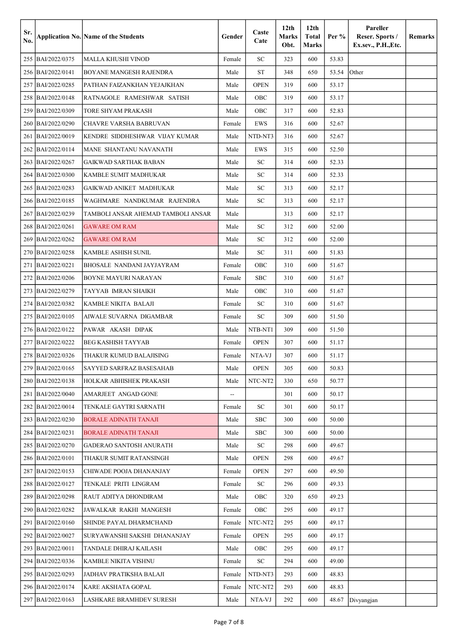| Sr.<br>No. |                     | <b>Application No. Name of the Students</b> | Gender                   | Caste<br>Cate | 12 <sub>th</sub><br><b>Marks</b><br>Obt. | 12 <sub>th</sub><br><b>Total</b><br><b>Marks</b> | Per % | Pareller<br>Reser. Sports /<br>Ex.sev., P.H., Etc. | Remarks |
|------------|---------------------|---------------------------------------------|--------------------------|---------------|------------------------------------------|--------------------------------------------------|-------|----------------------------------------------------|---------|
|            | 255 BAI/2022/0375   | MALLA KHUSHI VINOD                          | Female                   | <b>SC</b>     | 323                                      | 600                                              | 53.83 |                                                    |         |
|            | 256 BAI/2022/0141   | BOYANE MANGESH RAJENDRA                     | Male                     | <b>ST</b>     | 348                                      | 650                                              | 53.54 | <b>Other</b>                                       |         |
| 257        | BAI/2022/0285       | PATHAN FAIZANKHAN YEJAJKHAN                 | Male                     | <b>OPEN</b>   | 319                                      | 600                                              | 53.17 |                                                    |         |
| 258        | BAI/2022/0148       | RATNAGOLE RAMESHWAR SATISH                  | Male                     | OBC           | 319                                      | 600                                              | 53.17 |                                                    |         |
| 259        | BAI/2022/0309       | TORE SHYAM PRAKASH                          | Male                     | OBC           | 317                                      | 600                                              | 52.83 |                                                    |         |
| 260        | BAI/2022/0290       | CHAVRE VARSHA BABRUVAN                      | Female                   | EWS           | 316                                      | 600                                              | 52.67 |                                                    |         |
| 261        | BAI/2022/0019       | KENDRE SIDDHESHWAR VIJAY KUMAR              | Male                     | NTD-NT3       | 316                                      | 600                                              | 52.67 |                                                    |         |
| 262        | BAI/2022/0114       | MANE SHANTANU NAVANATH                      | Male                     | <b>EWS</b>    | 315                                      | 600                                              | 52.50 |                                                    |         |
| 263        | BAI/2022/0267       | GAIKWAD SARTHAK BABAN                       | Male                     | SC            | 314                                      | 600                                              | 52.33 |                                                    |         |
| 264        | BAI/2022/0300       | KAMBLE SUMIT MADHUKAR                       | Male                     | <b>SC</b>     | 314                                      | 600                                              | 52.33 |                                                    |         |
| 265        | BAI/2022/0283       | <b>GAIKWAD ANIKET MADHUKAR</b>              | Male                     | <b>SC</b>     | 313                                      | 600                                              | 52.17 |                                                    |         |
| 266        | BAI/2022/0185       | WAGHMARE NANDKUMAR RAJENDRA                 | Male                     | SC            | 313                                      | 600                                              | 52.17 |                                                    |         |
| 267        | BAI/2022/0239       | TAMBOLI ANSAR AHEMAD TAMBOLI ANSAR          | Male                     |               | 313                                      | 600                                              | 52.17 |                                                    |         |
| 268        | BAI/2022/0261       | <b>GAWARE OM RAM</b>                        | Male                     | <b>SC</b>     | 312                                      | 600                                              | 52.00 |                                                    |         |
| 269        | BAI/2022/0262       | <b>GAWARE OM RAM</b>                        | Male                     | <b>SC</b>     | 312                                      | 600                                              | 52.00 |                                                    |         |
| 270        | BAI/2022/0258       | KAMBLE ASHISH SUNIL                         | Male                     | <b>SC</b>     | 311                                      | 600                                              | 51.83 |                                                    |         |
| 271        | BAI/2022/0221       | BHOSALE NANDANI JAYJAYRAM                   | Female                   | OBC           | 310                                      | 600                                              | 51.67 |                                                    |         |
| 272        | BAI/2022/0206       | BOYNE MAYURI NARAYAN                        | Female                   | <b>SBC</b>    | 310                                      | 600                                              | 51.67 |                                                    |         |
| 273        | BAI/2022/0279       | TAYYAB IMRAN SHAIKH                         | Male                     | OBC           | 310                                      | 600                                              | 51.67 |                                                    |         |
| 274        | BAI/2022/0382       | KAMBLE NIKITA BALAJI                        | Female                   | SC            | 310                                      | 600                                              | 51.67 |                                                    |         |
| 275        | BAI/2022/0105       | AIWALE SUVARNA DIGAMBAR                     | Female                   | <b>SC</b>     | 309                                      | 600                                              | 51.50 |                                                    |         |
|            | 276 BAI/2022/0122   | PAWAR AKASH DIPAK                           | Male                     | NTB-NT1       | 309                                      | 600                                              | 51.50 |                                                    |         |
| 277        | BAI/2022/0222       | BEG KASHISH TAYYAB                          | Female                   | <b>OPEN</b>   | 307                                      | 600                                              | 51.17 |                                                    |         |
|            | 278 BAI/2022/0326   | THAKUR KUMUD BALAJISING                     | Female                   | NTA-VJ        | 307                                      | 600                                              | 51.17 |                                                    |         |
|            | 279 BAI/2022/0165   | SAYYED SARFRAZ BASESAHAB                    | Male                     | <b>OPEN</b>   | 305                                      | 600                                              | 50.83 |                                                    |         |
|            | 280   BAI/2022/0138 | HOLKAR ABHISHEK PRAKASH                     | Male                     | NTC-NT2       | 330                                      | 650                                              | 50.77 |                                                    |         |
|            | 281 BAI/2022/0040   | AMARJEET ANGAD GONE                         | $\overline{\phantom{a}}$ |               | 301                                      | 600                                              | 50.17 |                                                    |         |
|            | 282 BAI/2022/0014   | TENKALE GAYTRI SARNATH                      | Female                   | <b>SC</b>     | 301                                      | 600                                              | 50.17 |                                                    |         |
|            | 283 BAI/2022/0230   | <b>BORALE ADINATH TANAJI</b>                | Male                     | <b>SBC</b>    | 300                                      | 600                                              | 50.00 |                                                    |         |
|            | 284 BAI/2022/0231   | <b>BORALE ADINATH TANAJI</b>                | Male                     | SBC           | 300                                      | 600                                              | 50.00 |                                                    |         |
|            | 285 BAI/2022/0270   | <b>GADERAO SANTOSH ANURATH</b>              | Male                     | SC            | 298                                      | 600                                              | 49.67 |                                                    |         |
|            | 286 BAI/2022/0101   | THAKUR SUMIT RATANSINGH                     | Male                     | <b>OPEN</b>   | 298                                      | 600                                              | 49.67 |                                                    |         |
|            | 287 BAI/2022/0153   | CHIWADE POOJA DHANANJAY                     | Female                   | <b>OPEN</b>   | 297                                      | 600                                              | 49.50 |                                                    |         |
|            | 288 BAI/2022/0127   | TENKALE PRITI LINGRAM                       | Female                   | SC            | 296                                      | 600                                              | 49.33 |                                                    |         |
|            | 289 BAI/2022/0298   | RAUT ADITYA DHONDIRAM                       | Male                     | OBC           | 320                                      | 650                                              | 49.23 |                                                    |         |
|            | 290 BAI/2022/0282   | JAWALKAR RAKHI MANGESH                      | Female                   | OBC           | 295                                      | 600                                              | 49.17 |                                                    |         |
|            | 291 BAI/2022/0160   | SHINDE PAYAL DHARMCHAND                     | Female                   | NTC-NT2       | 295                                      | 600                                              | 49.17 |                                                    |         |
|            | 292 BAI/2022/0027   | SURYAWANSHI SAKSHI DHANANJAY                | Female                   | <b>OPEN</b>   | 295                                      | 600                                              | 49.17 |                                                    |         |
|            | 293   BAI/2022/0011 | TANDALE DHIRAJ KAILASH                      | Male                     | OBC           | 295                                      | 600                                              | 49.17 |                                                    |         |
|            | 294 BAI/2022/0336   | KAMBLE NIKITA VISHNU                        | Female                   | SC            | 294                                      | 600                                              | 49.00 |                                                    |         |
|            | 295 BAI/2022/0293   | JADHAV PRATIKSHA BALAJI                     | Female                   | NTD-NT3       | 293                                      | 600                                              | 48.83 |                                                    |         |
|            | 296 BAI/2022/0174   | KARE AKSHATA GOPAL                          | Female                   | NTC-NT2       | 293                                      | 600                                              | 48.83 |                                                    |         |
|            | 297 BAI/2022/0163   | LASHKARE BRAMHDEV SURESH                    | Male                     | NTA-VJ        | 292                                      | 600                                              | 48.67 | Divyangjan                                         |         |